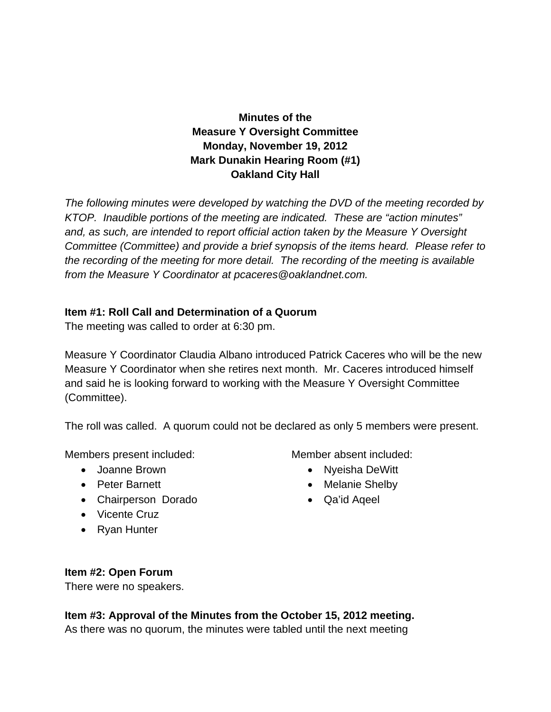# **Minutes of the Measure Y Oversight Committee Monday, November 19, 2012 Mark Dunakin Hearing Room (#1) Oakland City Hall**

*The following minutes were developed by watching the DVD of the meeting recorded by KTOP. Inaudible portions of the meeting are indicated. These are "action minutes" and, as such, are intended to report official action taken by the Measure Y Oversight Committee (Committee) and provide a brief synopsis of the items heard. Please refer to the recording of the meeting for more detail. The recording of the meeting is available from the Measure Y Coordinator at pcaceres@oaklandnet.com.* 

#### **Item #1: Roll Call and Determination of a Quorum**

The meeting was called to order at 6:30 pm.

Measure Y Coordinator Claudia Albano introduced Patrick Caceres who will be the new Measure Y Coordinator when she retires next month. Mr. Caceres introduced himself and said he is looking forward to working with the Measure Y Oversight Committee (Committee).

The roll was called. A quorum could not be declared as only 5 members were present.

Members present included:

- Joanne Brown
- Peter Barnett
- Chairperson Dorado
- Vicente Cruz
- Ryan Hunter

Member absent included:

- Nyeisha DeWitt
- Melanie Shelby
- Qa'id Aqeel

#### **Item #2: Open Forum**

There were no speakers.

**Item #3: Approval of the Minutes from the October 15, 2012 meeting.**  As there was no quorum, the minutes were tabled until the next meeting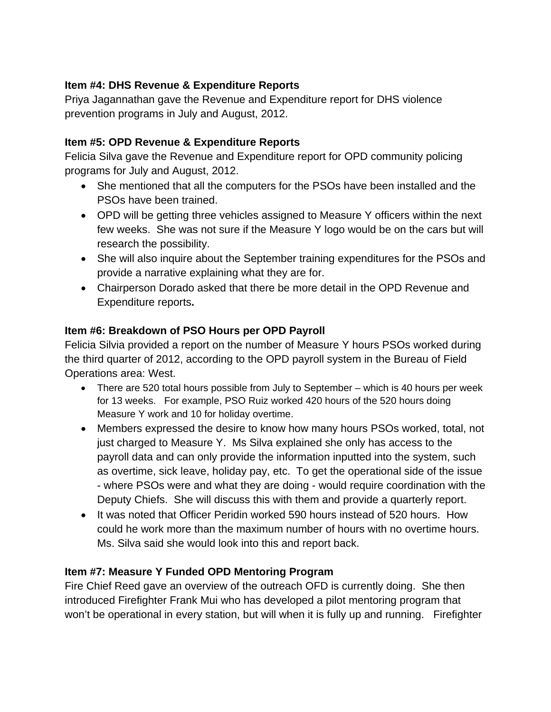## **Item #4: DHS Revenue & Expenditure Reports**

Priya Jagannathan gave the Revenue and Expenditure report for DHS violence prevention programs in July and August, 2012.

### **Item #5: OPD Revenue & Expenditure Reports**

Felicia Silva gave the Revenue and Expenditure report for OPD community policing programs for July and August, 2012.

- She mentioned that all the computers for the PSOs have been installed and the PSOs have been trained.
- OPD will be getting three vehicles assigned to Measure Y officers within the next few weeks. She was not sure if the Measure Y logo would be on the cars but will research the possibility.
- She will also inquire about the September training expenditures for the PSOs and provide a narrative explaining what they are for.
- Chairperson Dorado asked that there be more detail in the OPD Revenue and Expenditure reports**.**

### **Item #6: Breakdown of PSO Hours per OPD Payroll**

Felicia Silvia provided a report on the number of Measure Y hours PSOs worked during the third quarter of 2012, according to the OPD payroll system in the Bureau of Field Operations area: West.

- There are 520 total hours possible from July to September which is 40 hours per week for 13 weeks. For example, PSO Ruiz worked 420 hours of the 520 hours doing Measure Y work and 10 for holiday overtime.
- Members expressed the desire to know how many hours PSOs worked, total, not just charged to Measure Y. Ms Silva explained she only has access to the payroll data and can only provide the information inputted into the system, such as overtime, sick leave, holiday pay, etc. To get the operational side of the issue - where PSOs were and what they are doing - would require coordination with the Deputy Chiefs. She will discuss this with them and provide a quarterly report.
- It was noted that Officer Peridin worked 590 hours instead of 520 hours. How could he work more than the maximum number of hours with no overtime hours. Ms. Silva said she would look into this and report back.

#### **Item #7: Measure Y Funded OPD Mentoring Program**

Fire Chief Reed gave an overview of the outreach OFD is currently doing. She then introduced Firefighter Frank Mui who has developed a pilot mentoring program that won't be operational in every station, but will when it is fully up and running. Firefighter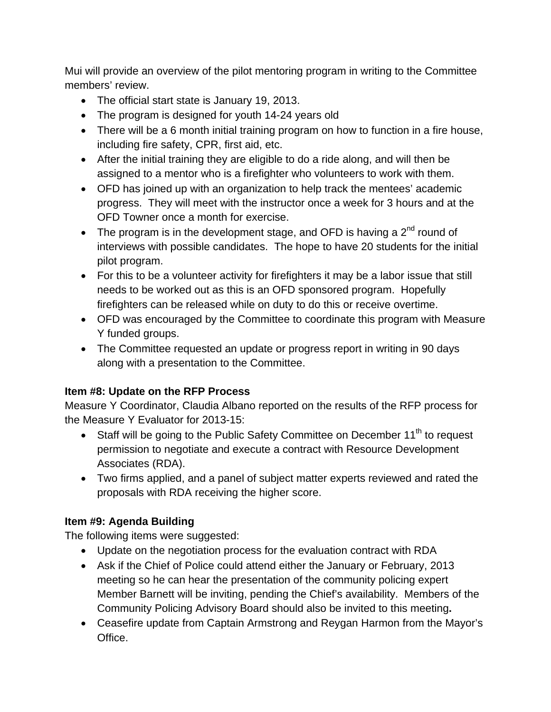Mui will provide an overview of the pilot mentoring program in writing to the Committee members' review.

- The official start state is January 19, 2013.
- The program is designed for youth 14-24 years old
- There will be a 6 month initial training program on how to function in a fire house, including fire safety, CPR, first aid, etc.
- After the initial training they are eligible to do a ride along, and will then be assigned to a mentor who is a firefighter who volunteers to work with them.
- OFD has joined up with an organization to help track the mentees' academic progress. They will meet with the instructor once a week for 3 hours and at the OFD Towner once a month for exercise.
- The program is in the development stage, and OFD is having a  $2<sup>nd</sup>$  round of interviews with possible candidates. The hope to have 20 students for the initial pilot program.
- For this to be a volunteer activity for firefighters it may be a labor issue that still needs to be worked out as this is an OFD sponsored program. Hopefully firefighters can be released while on duty to do this or receive overtime.
- OFD was encouraged by the Committee to coordinate this program with Measure Y funded groups.
- The Committee requested an update or progress report in writing in 90 days along with a presentation to the Committee.

## **Item #8: Update on the RFP Process**

Measure Y Coordinator, Claudia Albano reported on the results of the RFP process for the Measure Y Evaluator for 2013-15:

- Staff will be going to the Public Safety Committee on December  $11<sup>th</sup>$  to request permission to negotiate and execute a contract with Resource Development Associates (RDA).
- Two firms applied, and a panel of subject matter experts reviewed and rated the proposals with RDA receiving the higher score.

## **Item #9: Agenda Building**

The following items were suggested:

- Update on the negotiation process for the evaluation contract with RDA
- Ask if the Chief of Police could attend either the January or February, 2013 meeting so he can hear the presentation of the community policing expert Member Barnett will be inviting, pending the Chief's availability. Members of the Community Policing Advisory Board should also be invited to this meeting**.**
- Ceasefire update from Captain Armstrong and Reygan Harmon from the Mayor's Office.